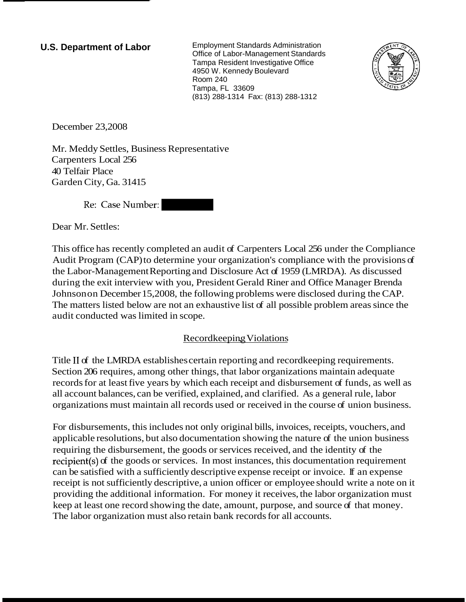**U.S. Department of Labor** Employment Standards Administration Office of Labor-Management Standards Tampa Resident Investigative Office 4950 W. Kennedy Boulevard Room 240 Tampa, FL 33609 (813) 288-1314 Fax: (813) 288-1312



December 23,2008

Mr. Meddy Settles, Business Representative Carpenters Local 256 40 Telfair Place Garden City, Ga. 31415

Re: Case Number:

Dear Mr. Settles:

This office has recently completed an audit of Carpenters Local 256 under the Compliance Audit Program (CAP) to determine your organization's compliance with the provisions of the Labor-Management Reporting and Disclosure Act of 1959 (LMRDA). As discussed during the exit interview with you, President Gerald Riner and Office Manager Brenda Johnson on December 15,2008, the following problems were disclosed during the CAP. The matters listed below are not an exhaustive list of all possible problem areas since the audit conducted was limited in scope.

## Recordkeeping Violations

Title I1 of the LMRDA establishes certain reporting and recordkeeping requirements. Section 206 requires, among other things, that labor organizations maintain adequate records for at least five years by which each receipt and disbursement of funds, as well as all account balances, can be verified, explained, and clarified. As a general rule, labor organizations must maintain all records used or received in the course of union business.

For disbursements, this includes not only original bills, invoices, receipts, vouchers, and applicable resolutions, but also documentation showing the nature of the union business requiring the disbursement, the goods or services received, and the identity of the recipient(s) of the goods or services. In most instances, this documentation requirement can be satisfied with a sufficiently descriptive expense receipt or invoice. If an expense receipt is not sufficiently descriptive, a union officer or employee should write a note on it providing the additional information. For money it receives, the labor organization must keep at least one record showing the date, amount, purpose, and source of that money. The labor organization must also retain bank records for all accounts.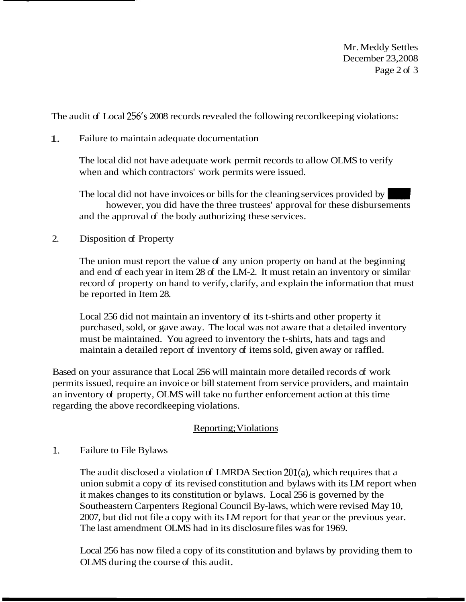Mr. Meddy Settles December 23,2008 Page 2 of 3

The audit of Local 256's 2008 records revealed the following record keeping violations:

1. Failure to maintain adequate documentation

The local did not have adequate work permit records to allow OLMS to verify when and which contractors' work permits were issued.

The local did not have invoices or bills for the cleaning services provided by however, you did have the three trustees' approval for these disbursements and the approval of the body authorizing these services.

2. Disposition of Property

The union must report the value of any union property on hand at the beginning and end of each year in item 28 of the LM-2. It must retain an inventory or similar record of property on hand to verify, clarify, and explain the information that must be reported in Item 28.

Local 256 did not maintain an inventory of its t-shirts and other property it purchased, sold, or gave away. The local was not aware that a detailed inventory must be maintained. You agreed to inventory the t-shirts, hats and tags and maintain a detailed report of inventory of items sold, given away or raffled.

Based on your assurance that Local 256 will maintain more detailed records of work permits issued, require an invoice or bill statement from service providers, and maintain an inventory of property, OLMS will take no further enforcement action at this time regarding the above recordkeeping violations.

## Reporting; Violations

## $\mathbf{1}$ Failure to File Bylaws

The audit disclosed a violation of LMRDA Section 201(a), which requires that a union submit a copy of its revised constitution and bylaws with its LM report when it makes changes to its constitution or bylaws. Local 256 is governed by the Southeastern Carpenters Regional Council By-laws, which were revised May 10, 2007, but did not file a copy with its LM report for that year or the previous year. The last amendment OLMS had in its disclosure files was for 1969.

Local 256 has now filed a copy of its constitution and bylaws by providing them to OLMS during the course of this audit.